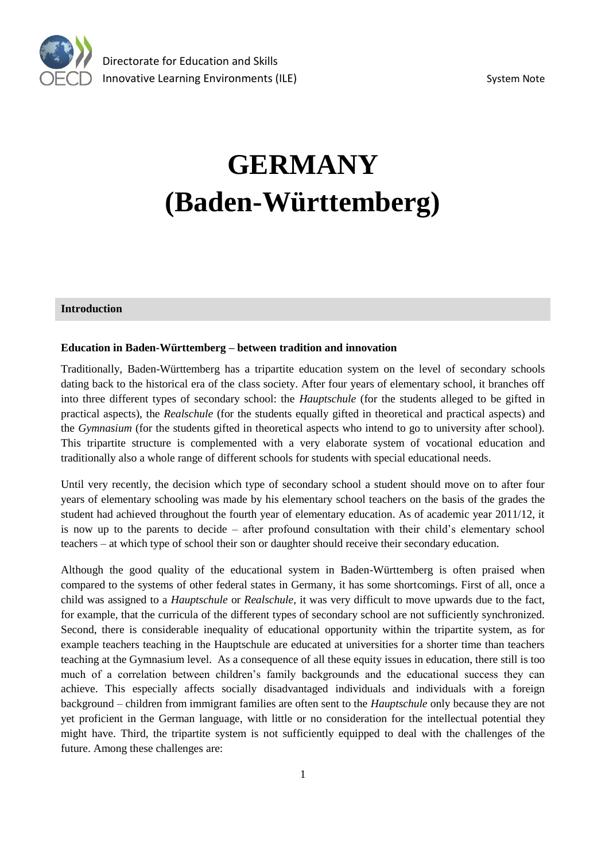

# **GERMANY (Baden-Württemberg)**

### **Introduction**

#### **Education in Baden-Württemberg – between tradition and innovation**

Traditionally, Baden-Württemberg has a tripartite education system on the level of secondary schools dating back to the historical era of the class society. After four years of elementary school, it branches off into three different types of secondary school: the *Hauptschule* (for the students alleged to be gifted in practical aspects), the *Realschule* (for the students equally gifted in theoretical and practical aspects) and the *Gymnasium* (for the students gifted in theoretical aspects who intend to go to university after school). This tripartite structure is complemented with a very elaborate system of vocational education and traditionally also a whole range of different schools for students with special educational needs.

Until very recently, the decision which type of secondary school a student should move on to after four years of elementary schooling was made by his elementary school teachers on the basis of the grades the student had achieved throughout the fourth year of elementary education. As of academic year 2011/12, it is now up to the parents to decide – after profound consultation with their child's elementary school teachers – at which type of school their son or daughter should receive their secondary education.

Although the good quality of the educational system in Baden-Württemberg is often praised when compared to the systems of other federal states in Germany, it has some shortcomings. First of all, once a child was assigned to a *Hauptschule* or *Realschule*, it was very difficult to move upwards due to the fact, for example, that the curricula of the different types of secondary school are not sufficiently synchronized. Second, there is considerable inequality of educational opportunity within the tripartite system, as for example teachers teaching in the Hauptschule are educated at universities for a shorter time than teachers teaching at the Gymnasium level. As a consequence of all these equity issues in education, there still is too much of a correlation between children's family backgrounds and the educational success they can achieve. This especially affects socially disadvantaged individuals and individuals with a foreign background – children from immigrant families are often sent to the *Hauptschule* only because they are not yet proficient in the German language, with little or no consideration for the intellectual potential they might have. Third, the tripartite system is not sufficiently equipped to deal with the challenges of the future. Among these challenges are: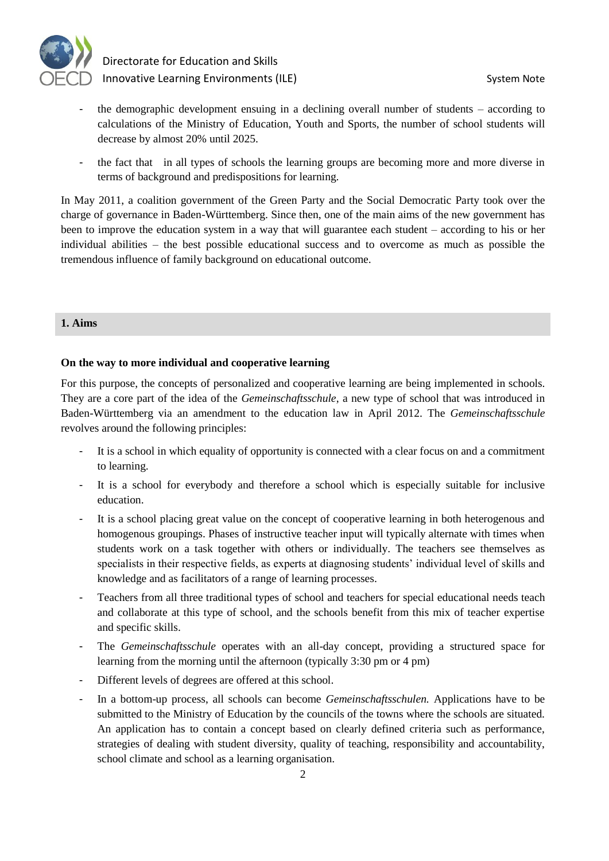

- the demographic development ensuing in a declining overall number of students according to calculations of the Ministry of Education, Youth and Sports, the number of school students will decrease by almost 20% until 2025.
- the fact that in all types of schools the learning groups are becoming more and more diverse in terms of background and predispositions for learning.

In May 2011, a coalition government of the Green Party and the Social Democratic Party took over the charge of governance in Baden-Württemberg. Since then, one of the main aims of the new government has been to improve the education system in a way that will guarantee each student – according to his or her individual abilities – the best possible educational success and to overcome as much as possible the tremendous influence of family background on educational outcome.

#### **1. Aims**

#### **On the way to more individual and cooperative learning**

For this purpose, the concepts of personalized and cooperative learning are being implemented in schools. They are a core part of the idea of the *Gemeinschaftsschule*, a new type of school that was introduced in Baden-Württemberg via an amendment to the education law in April 2012. The *Gemeinschaftsschule*  revolves around the following principles:

- It is a school in which equality of opportunity is connected with a clear focus on and a commitment to learning.
- It is a school for everybody and therefore a school which is especially suitable for inclusive education.
- It is a school placing great value on the concept of cooperative learning in both heterogenous and homogenous groupings. Phases of instructive teacher input will typically alternate with times when students work on a task together with others or individually. The teachers see themselves as specialists in their respective fields, as experts at diagnosing students' individual level of skills and knowledge and as facilitators of a range of learning processes.
- Teachers from all three traditional types of school and teachers for special educational needs teach and collaborate at this type of school, and the schools benefit from this mix of teacher expertise and specific skills.
- The *Gemeinschaftsschule* operates with an all-day concept, providing a structured space for learning from the morning until the afternoon (typically 3:30 pm or 4 pm)
- Different levels of degrees are offered at this school.
- In a bottom-up process, all schools can become *Gemeinschaftsschulen.* Applications have to be submitted to the Ministry of Education by the councils of the towns where the schools are situated. An application has to contain a concept based on clearly defined criteria such as performance, strategies of dealing with student diversity, quality of teaching, responsibility and accountability, school climate and school as a learning organisation.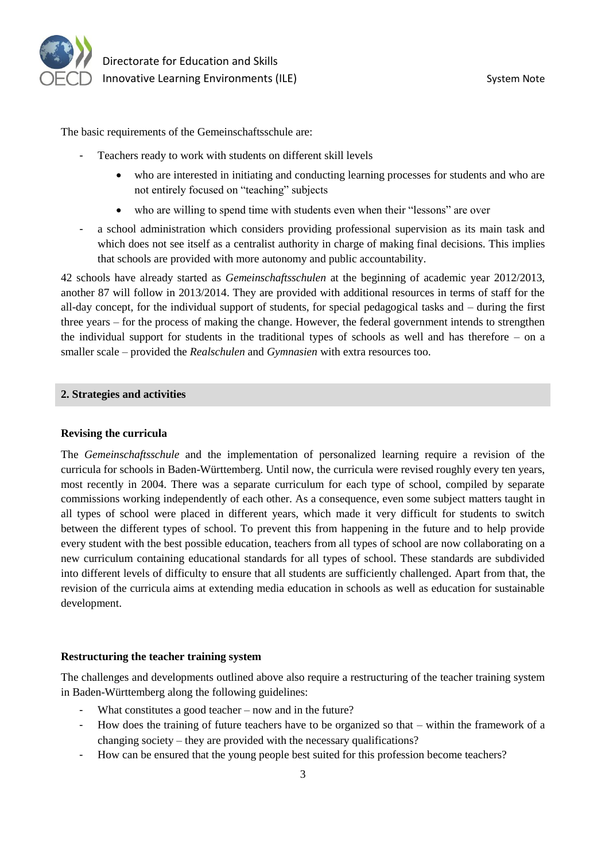

The basic requirements of the Gemeinschaftsschule are:

- Teachers ready to work with students on different skill levels
	- who are interested in initiating and conducting learning processes for students and who are not entirely focused on "teaching" subjects
	- who are willing to spend time with students even when their "lessons" are over
- a school administration which considers providing professional supervision as its main task and which does not see itself as a centralist authority in charge of making final decisions. This implies that schools are provided with more autonomy and public accountability.

42 schools have already started as *Gemeinschaftsschulen* at the beginning of academic year 2012/2013, another 87 will follow in 2013/2014. They are provided with additional resources in terms of staff for the all-day concept, for the individual support of students, for special pedagogical tasks and – during the first three years – for the process of making the change. However, the federal government intends to strengthen the individual support for students in the traditional types of schools as well and has therefore – on a smaller scale – provided the *Realschulen* and *Gymnasien* with extra resources too.

#### **2. Strategies and activities**

#### **Revising the curricula**

The *Gemeinschaftsschule* and the implementation of personalized learning require a revision of the curricula for schools in Baden-Württemberg. Until now, the curricula were revised roughly every ten years, most recently in 2004. There was a separate curriculum for each type of school, compiled by separate commissions working independently of each other. As a consequence, even some subject matters taught in all types of school were placed in different years, which made it very difficult for students to switch between the different types of school. To prevent this from happening in the future and to help provide every student with the best possible education, teachers from all types of school are now collaborating on a new curriculum containing educational standards for all types of school. These standards are subdivided into different levels of difficulty to ensure that all students are sufficiently challenged. Apart from that, the revision of the curricula aims at extending media education in schools as well as education for sustainable development.

#### **Restructuring the teacher training system**

The challenges and developments outlined above also require a restructuring of the teacher training system in Baden-Württemberg along the following guidelines:

- What constitutes a good teacher  $-$  now and in the future?
- How does the training of future teachers have to be organized so that within the framework of a changing society – they are provided with the necessary qualifications?
- How can be ensured that the young people best suited for this profession become teachers?